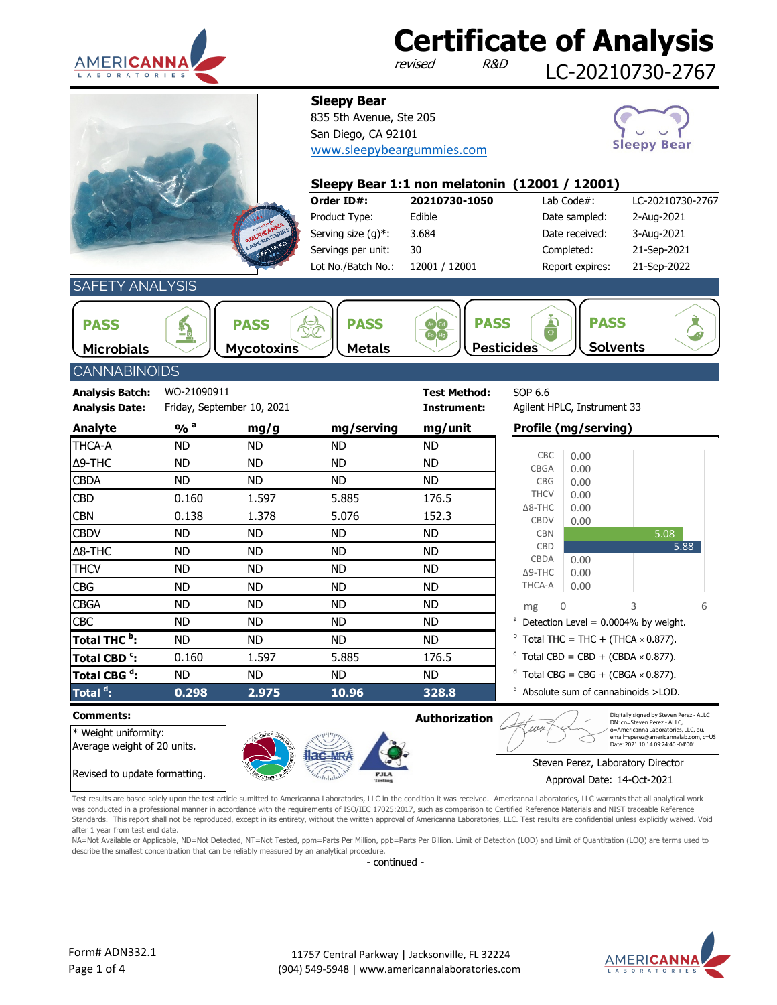

revised

**Sleepy Bear**

835 5th Avenue, Ste 205 San Diego, CA 92101

[www.sleepybeargummies.com](http://www.sleepybeargummies.com/)

LC-20210730-2767





### **Order ID#: 20210730-1050** Lab Code#: LC-20210730-2767 Product Type: Edible 2-Aug-2021 Date sampled: Serving size (g)\*: 3.684 Date received: 3-Aug-2021 Servings per unit: 30 Completed: 21-Sep-2021 Report expires: 21-Sep-2022 12001 / 12001 30 **Sleepy Bear 1:1 non melatonin (12001 / 12001)** 3.684 Lot No./Batch No.:

SAFETY ANALYSIS

| <b>PASS</b>       | 'ASS<br>T)<br><u>—</u> c | $\tilde{}$    | $-$<br>$\frac{1}{2}$ | $\sim$            | ASS             |  |
|-------------------|--------------------------|---------------|----------------------|-------------------|-----------------|--|
| <b>Microbials</b> | <b>Mycotoxins</b>        | <b>Metals</b> |                      | <b>Pesticides</b> | <b>Solvents</b> |  |

## CANNABINOIDS

| <b>Analysis Batch:</b>   | WO-21090911                |                            |            | <b>Test Method:</b> | SOP 6.6                       |              |                                                       |      |
|--------------------------|----------------------------|----------------------------|------------|---------------------|-------------------------------|--------------|-------------------------------------------------------|------|
| <b>Analysis Date:</b>    |                            | Friday, September 10, 2021 |            | Instrument:         | Agilent HPLC, Instrument 33   |              |                                                       |      |
| <b>Analyte</b>           | $\frac{9}{6}$ <sup>a</sup> | mg/g                       | mg/serving | mg/unit             | Profile (mg/serving)          |              |                                                       |      |
| THCA-A                   | ND.                        | ND.                        | ND.        | <b>ND</b>           |                               |              |                                                       |      |
| $\Delta$ 9-THC           | ND.                        | ND.                        | ND.        | <b>ND</b>           | CBC<br><b>CBGA</b>            | 0.00<br>0.00 |                                                       |      |
| <b>CBDA</b>              | ND.                        | ND.                        | ND.        | <b>ND</b>           | <b>CBG</b>                    | 0.00         |                                                       |      |
| <b>CBD</b>               | 0.160                      | 1.597                      | 5.885      | 176.5               | <b>THCV</b>                   | 0.00         |                                                       |      |
| <b>CBN</b>               | 0.138                      | 1.378                      | 5.076      | 152.3               | $\Delta$ 8-THC<br><b>CBDV</b> | 0.00<br>0.00 |                                                       |      |
| <b>CBDV</b>              | ND.                        | ND.                        | ND.        | <b>ND</b>           | <b>CBN</b>                    |              | 5.08                                                  |      |
| $\Delta$ 8-THC           | ND.                        | ND.                        | ND.        | ND.                 | CBD                           |              |                                                       | 5.88 |
| THCV                     | ND.                        | ND.                        | ND.        | ND.                 | CBDA<br>$\Delta$ 9-THC        | 0.00<br>0.00 |                                                       |      |
| <b>CBG</b>               | ND.                        | ND.                        | ND.        | ND.                 | THCA-A                        | 0.00         |                                                       |      |
| <b>CBGA</b>              | ND.                        | ND.                        | ND.        | ND.                 | mg                            | $\cap$       | 3                                                     | 6    |
| <b>CBC</b>               | ND.                        | ND.                        | ND.        | ND.                 |                               |              | $^{\circ}$ Detection Level = 0.0004% by weight.       |      |
| Total THC <sup>b</sup> : | ND.                        | ND.                        | ND.        | ND.                 |                               |              | $^{\circ}$ Total THC = THC + (THCA $\times$ 0.877).   |      |
| Total CBD <sup>c</sup> : | 0.160                      | 1.597                      | 5.885      | 176.5               |                               |              | $C$ Total CBD = CBD + (CBDA $\times$ 0.877).          |      |
| Total CBG <sup>ª</sup> : | ND.                        | ND.                        | ND.        | ND.                 |                               |              | <sup>d</sup> Total CBG = CBG + (CBGA $\times$ 0.877). |      |
| Total <sup>d</sup> :     | 0.298                      | 2.975                      | 10.96      | 328.8               |                               |              | $^d$ Absolute sum of cannabinoids $>$ LOD.            |      |

\* Weight uniformity: Average weight of 20 units. Revised to update formatting.



**Comments: Authorization**

 $1181$ 

Digitally signed by Steven Perez - ALLC DN: cn=Steven Perez - ALLC, o=Americanna Laboratories, LLC, ou, email=sperez@americannalab.com, c=US Date: 2021.10.14 09:24:40 -04'00'

Steven Perez, Laboratory Director Approval Date: 14-Oct-2021

Test results are based solely upon the test article sumitted to Americanna Laboratories, LLC in the condition it was received. Americanna Laboratories, LLC warrants that all analytical work was conducted in a professional manner in accordance with the requirements of ISO/IEC 17025:2017, such as comparison to Certified Reference Materials and NIST traceable Reference Standards. This report shall not be reproduced, except in its entirety, without the written approval of Americanna Laboratories, LLC. Test results are confidential unless explicitly waived. Void after 1 year from test end date.

NA=Not Available or Applicable, ND=Not Detected, NT=Not Tested, ppm=Parts Per Million, ppb=Parts Per Billion. Limit of Detection (LOD) and Limit of Quantitation (LOQ) are terms used to describe the smallest concentration that can be reliably measured by an analytical procedure.

- continued -

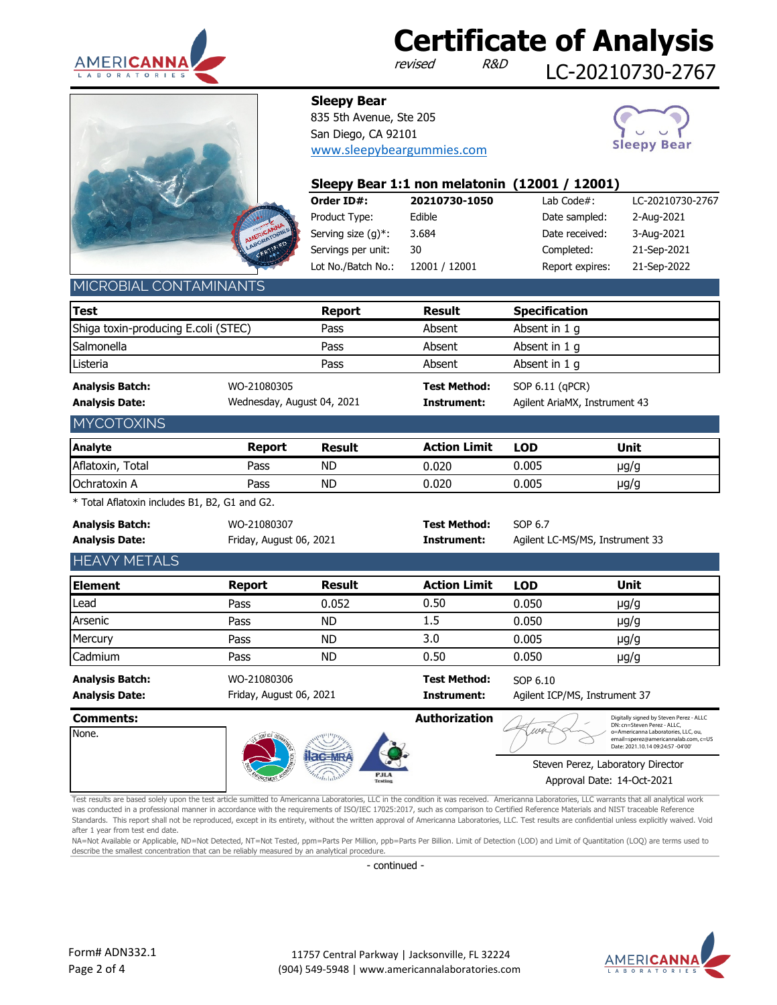

revised

LC-20210730-2767



835 5th Avenue, Ste 205 San Diego, CA 92101 [www.sleepybeargummies.com](http://www.sleepybeargummies.com/)

**Sleepy Bear**



| Sleepy Bear 1:1 non melatonin (12001 / 12001) |               |                 |                  |  |  |  |  |  |  |
|-----------------------------------------------|---------------|-----------------|------------------|--|--|--|--|--|--|
| Order ID#:                                    | 20210730-1050 | Lab Code $#$ :  | LC-20210730-2767 |  |  |  |  |  |  |
| Product Type:                                 | Edible        | Date sampled:   | 2-Aug-2021       |  |  |  |  |  |  |
| Serving size $(q)^*$ :                        | 3.684         | Date received:  | 3-Aug-2021       |  |  |  |  |  |  |
| Servings per unit:                            | 30            | Completed:      | 21-Sep-2021      |  |  |  |  |  |  |
| Lot No./Batch No.:                            | 12001 / 12001 | Report expires: | 21-Sep-2022      |  |  |  |  |  |  |

### MICROBIAL CONTAMINANT

| <b>Test</b>                                     |             | <b>Report</b>              | <b>Result</b>                      | <b>Specification</b>                             |
|-------------------------------------------------|-------------|----------------------------|------------------------------------|--------------------------------------------------|
| Shiga toxin-producing E.coli (STEC)             |             | Pass                       | Absent                             | Absent in 1 q                                    |
| Salmonella                                      |             | Pass                       | Absent                             | Absent in 1 q                                    |
| Listeria                                        |             | Pass                       | Absent                             | Absent in 1 g                                    |
| <b>Analysis Batch:</b><br><b>Analysis Date:</b> | WO-21080305 | Wednesday, August 04, 2021 | <b>Test Method:</b><br>Instrument: | SOP 6.11 (qPCR)<br>Agilent AriaMX, Instrument 43 |
| <b>MYCOTOXINS</b>                               |             |                            |                                    |                                                  |

| Analyte             | Report | <b>Result</b> | <b>Action Limit</b> | <b>LOD</b> | Unit |  |
|---------------------|--------|---------------|---------------------|------------|------|--|
| Aflatoxin,<br>Total | Pass   | <b>ND</b>     | .020ر               | J.005      | µg/g |  |
| Ochratoxin A        | Pass   | <b>ND</b>     | 020.ر               | 0.005      | µg/g |  |

\* Total Aflatoxin includes B1, B2, G1 and G2.

| <b>Analysis Batch:</b><br><b>Analysis Date:</b> | WO-21080307<br>Friday, August 06, 2021 |           | <b>Test Method:</b><br>Instrument: | SOP 6.7    | Agilent LC-MS/MS, Instrument 33 |
|-------------------------------------------------|----------------------------------------|-----------|------------------------------------|------------|---------------------------------|
| <b>HEAVY METALS</b>                             |                                        |           |                                    |            |                                 |
| Element                                         | Report                                 | Result    | <b>Action Limit</b>                | <b>LOD</b> | Unit                            |
| Lead                                            | Pass                                   | 0.052     | 0.50                               | 0.050      | $\mu$ g/g                       |
| Arsenic                                         | Pass                                   | <b>ND</b> | $1.5\,$                            | 0.050      | $\mu$ g/g                       |
| Mercury                                         | Pass                                   | ND        | 3.0                                | 0.005      | $\mu$ g/g                       |
| Cadmium                                         | Pass                                   | ND        | 0.50                               | 0.050      | $\mu$ g/g                       |
| <b>Analysis Batch:</b><br><b>Analysis Date:</b> | WO-21080306<br>Friday, August 06, 2021 |           | <b>Test Method:</b><br>Instrument: | SOP 6.10   | Agilent ICP/MS, Instrument 37   |

| <b>Comments:</b><br>None. |  |                               | Authorization | 11211 | Digitally signed by Steven Perez - ALLC<br>DN: cn=Steven Perez - ALLC.<br>o=Americanna Laboratories, LLC, ou,<br>email=sperez@americannalab.com, c=US<br>Date: 2021.10.14 09:24:57 -04'00' |
|---------------------------|--|-------------------------------|---------------|-------|--------------------------------------------------------------------------------------------------------------------------------------------------------------------------------------------|
|                           |  | <b>PJLA</b><br><b>Testing</b> |               |       | Steven Perez, Laboratory Director<br>Approval Date: 14-Oct-2021                                                                                                                            |

Test results are based solely upon the test article sumitted to Americanna Laboratories, LLC in the condition it was received. Americanna Laboratories, LLC warrants that all analytical work was conducted in a professional manner in accordance with the requirements of ISO/IEC 17025:2017, such as comparison to Certified Reference Materials and NIST traceable Reference Standards. This report shall not be reproduced, except in its entirety, without the written approval of Americanna Laboratories, LLC. Test results are confidential unless explicitly waived. Void after 1 year from test end date.

NA=Not Available or Applicable, ND=Not Detected, NT=Not Tested, ppm=Parts Per Million, ppb=Parts Per Billion. Limit of Detection (LOD) and Limit of Quantitation (LOQ) are terms used to describe the smallest concentration that can be reliably measured by an analytical procedure.

- continued -

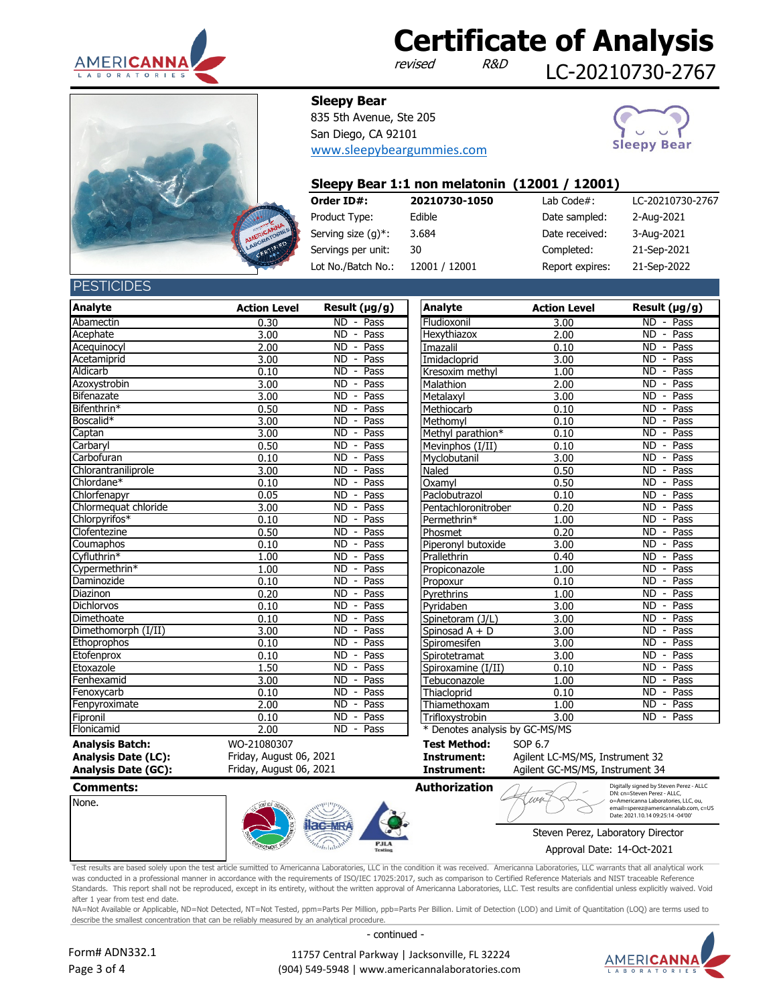

revised

12001 / 12001

LC-20210730-2767



**Sleepy Bear**

835 5th Avenue, Ste 205 San Diego, CA 92101 [www.sleepybeargummies.com](http://www.sleepybeargummies.com/)



### **Order ID#: 20210730-1050** Lab Code#: LC-20210730-2767 Product Type: Edible 2-Aug-2021 Date sampled: Serving size (g)\*: 3.684 Date received: 3-Aug-2021 Servings per unit: 30 Completed: 21-Sep-2021 Report expires: 21-Sep-2022 30 **Sleepy Bear 1:1 non melatonin (12001 / 12001)** 3.684 Lot No./Batch No.:

**PESTICIDES** 

| <b>Analyte</b>             | <b>Action Level</b>     | Result $(\mu g/g)$                                  | <b>Analyte</b>               | <b>Action Level</b>             | Result $(\mu g/g)$          |
|----------------------------|-------------------------|-----------------------------------------------------|------------------------------|---------------------------------|-----------------------------|
| Abamectin                  | 0.30                    | ND - Pass                                           | Fludioxonil                  | 3.00                            | ND - Pass                   |
| Acephate                   | 3.00                    | <b>ND</b><br>Pass<br>$\overline{\phantom{a}}$       | Hexythiazox                  | 2.00                            | $ND -$<br>Pass              |
| Acequinocyl                | 2.00                    | <b>ND</b><br>Pass<br>$\sim$                         | Imazalil                     | 0.10                            | $ND -$<br>Pass              |
| Acetamiprid                | 3.00                    | Pass<br><b>ND</b><br>$\overline{\phantom{a}}$       | Imidacloprid                 | 3.00                            | Pass<br>ND -                |
| Aldicarb                   | 0.10                    | Pass<br>ND<br>$\overline{\phantom{a}}$              | Kresoxim methyl              | 1.00                            | Pass<br>$ND -$              |
| Azoxystrobin               | 3.00                    | ND<br>Pass<br>$\overline{\phantom{a}}$              | Malathion                    | 2.00                            | Pass<br>$ND -$              |
| Bifenazate                 | 3.00                    | Pass<br>ND<br>$\overline{\phantom{a}}$              | Metalaxyl                    | 3.00                            | Pass<br>$ND -$              |
| Bifenthrin*                | 0.50                    | $\overline{ND}$<br>Pass<br>$\overline{\phantom{a}}$ | Methiocarb                   | 0.10                            | Pass<br>$ND -$              |
| Boscalid*                  | 3.00                    | $\overline{ND}$<br>Pass<br>$\overline{\phantom{a}}$ | Methomyl                     | 0.10                            | Pass<br>$ND -$              |
| Captan                     | 3.00                    | <b>ND</b><br>Pass<br>$\overline{\phantom{a}}$       | Methyl parathion*            | 0.10                            | Pass<br>$ND -$              |
| Carbaryl                   | 0.50                    | <b>ND</b><br>Pass<br>$\overline{\phantom{a}}$       | Mevinphos (I/II)             | 0.10                            | Pass<br>$ND -$              |
| Carbofuran                 | 0.10                    | <b>ND</b><br>Pass<br>$\overline{\phantom{a}}$       | Myclobutanil                 | 3.00                            | $ND -$<br>Pass              |
| Chlorantraniliprole        | 3.00                    | <b>ND</b><br>Pass<br>$\overline{\phantom{a}}$       | <b>Naled</b>                 | 0.50                            | $ND -$<br>Pass              |
| Chlordane*                 | 0.10                    | <b>ND</b><br>Pass<br>$\overline{\phantom{a}}$       | Oxamvl                       | 0.50                            | $ND -$<br>Pass              |
| Chlorfenapyr               | 0.05                    | <b>ND</b><br>Pass<br>$\overline{\phantom{a}}$       | Paclobutrazol                | 0.10                            | $ND -$<br>Pass              |
| Chlormequat chloride       | 3.00                    | Pass<br><b>ND</b><br>$\overline{\phantom{a}}$       | Pentachloronitrober          | 0.20                            | $ND -$<br>Pass              |
| Chlorpyrifos*              | 0.10                    | Pass<br>ND<br>$\overline{\phantom{a}}$              | Permethrin*                  | 1.00                            | Pass<br>$ND -$              |
| Clofentezine               | 0.50                    | Pass<br>ND<br>$\overline{\phantom{a}}$              | Phosmet                      | 0.20                            | Pass<br>$ND -$              |
| Coumaphos                  | 0.10                    | Pass<br>ND<br>$\overline{\phantom{a}}$              | Piperonyl butoxide           | 3.00                            | Pass<br>$ND -$              |
| Cyfluthrin*                | 1.00                    | Pass<br>ND<br>$\overline{\phantom{a}}$              | Prallethrin                  | 0.40                            | Pass<br>$ND -$              |
| Cypermethrin*              | 1.00                    | $\overline{ND}$<br>Pass<br>$\overline{\phantom{a}}$ | Propiconazole                | 1.00                            | Pass<br>$ND -$              |
| Daminozide                 | 0.10                    | <b>ND</b><br>Pass<br>$\overline{\phantom{a}}$       | Propoxur                     | 0.10                            | Pass<br>$ND -$              |
| Diazinon                   | 0.20                    | <b>ND</b><br>Pass<br>$\overline{\phantom{a}}$       | Pyrethrins                   | 1.00                            | <b>ND</b><br>Pass<br>$\sim$ |
| <b>Dichlorvos</b>          | 0.10                    | <b>ND</b><br>Pass<br>$\overline{\phantom{a}}$       | Pyridaben                    | 3.00                            | Pass<br>$ND -$              |
| Dimethoate                 | 0.10                    | <b>ND</b><br>Pass<br>$\overline{\phantom{a}}$       | Spinetoram (J/L)             | 3.00                            | $ND -$<br>Pass              |
| Dimethomorph (I/II)        | 3.00                    | <b>ND</b><br>Pass<br>$\overline{\phantom{a}}$       | Spinosad A + D               | 3.00                            | $ND -$<br>Pass              |
| Ethoprophos                | 0.10                    | <b>ND</b><br>Pass<br>$\overline{\phantom{a}}$       | Spiromesifen                 | 3.00                            | $ND -$<br>Pass              |
| Etofenprox                 | 0.10                    | Pass<br><b>ND</b><br>$\overline{\phantom{a}}$       | Spirotetramat                | 3.00                            | Pass<br>$ND -$              |
| Etoxazole                  | 1.50                    | Pass<br>ND.<br>$\overline{\phantom{a}}$             | Spiroxamine (I/II)           | 0.10                            | Pass<br>ND -                |
| Fenhexamid                 | 3.00                    | Pass<br>ND<br>$\overline{\phantom{a}}$              | Tebuconazole                 | 1.00                            | Pass<br>$ND -$              |
| Fenoxycarb                 | 0.10                    | ND<br>Pass<br>$\overline{\phantom{a}}$              | Thiacloprid                  | 0.10                            | Pass<br>$ND -$              |
| Fenpyroximate              | 2.00                    | ND<br>Pass<br>$\overline{\phantom{a}}$              | Thiamethoxam                 | 1.00                            | ND - Pass                   |
| Fipronil                   | 0.10                    | <b>ND</b><br>Pass<br>$\blacksquare$                 | Trifloxystrobin              | 3.00                            | ND - Pass                   |
| Flonicamid                 | 2.00                    | $\overline{\text{ND}}$ - Pass                       | Denotes analysis by GC-MS/MS |                                 |                             |
| <b>Analysis Batch:</b>     | WO-21080307             |                                                     | <b>Test Method:</b>          | SOP 6.7                         |                             |
| <b>Analysis Date (LC):</b> | Friday, August 06, 2021 |                                                     | Instrument:                  | Agilent LC-MS/MS, Instrument 32 |                             |

Friday, August 06, 2021

| esult (µg/g)                                               | <b>Analyte</b>           | <b>Action Level</b> | Result (µg/g)                                     |
|------------------------------------------------------------|--------------------------|---------------------|---------------------------------------------------|
| ND - Pass                                                  | Fludioxonil              | 3.00                | ND<br>$-$ Pass                                    |
| ND.<br>- Pass                                              | Hexythiazox              | 2.00                | <b>ND</b><br>- Pass                               |
| $\overline{\text{ND}}$<br>$-$ Pass                         | Imazalil                 | 0.10                | <b>ND</b><br>- Pass                               |
| $\overline{\text{ND}}$<br>- Pass                           | Imidacloprid             | 3.00                | ND<br>$-$ Pass                                    |
| ND.<br>Pass                                                | Kresoxim methyl          | 1.00                | ND<br>Pass<br>$\overline{a}$                      |
| ND<br>Pass                                                 | Malathion                | 2.00                | $\overline{ND}$<br>Pass<br>$\blacksquare$         |
| $\overline{\text{ND}}$<br>- Pass                           | Metalaxyl                | 3.00                | - Pass<br>$\overline{ND}$                         |
| $\overline{\text{ND}}$<br>$-$ Pass                         | Methiocarb               | 0.10                | <b>ND</b><br>- Pass                               |
| ND<br>$-$ Pass                                             | Methomyl                 | 0.10                | <b>ND</b><br>$-$ Pass                             |
| $\overline{ND}$<br>- Pass                                  | Methyl parathion*        | 0.10                | <b>ND</b><br>Pass                                 |
| $\overline{ND}$<br>Pass<br>$\sim$                          | Mevinphos (I/II)         | 0.10                | <b>ND</b><br>Pass<br>$\qquad \qquad \blacksquare$ |
| $\overline{ND}$<br>Pass<br>$\sim$                          | Myclobutanil             | 3.00                | <b>ND</b><br>$-$ Pass                             |
| $\overline{ND}$<br>$-$ Pass                                | Naled                    | 0.50                | <b>ND</b><br>$-$ Pass                             |
| <b>ND</b><br>Pass<br>$\sim$                                | Oxamyl                   | 0.50                | <b>ND</b><br>- Pass                               |
| $\overline{ND}$<br>$-$ Pass                                | Paclobutrazol            | 0.10                | <b>ND</b><br>$-$ Pass                             |
| ND<br>Pass                                                 | Pentachloronitroben      | 0.20                | $\overline{ND}$<br>Pass                           |
| ND<br>Pass<br>$\sim$                                       | Permethrin*              | 1.00                | - Pass<br>$\overline{ND}$                         |
| ND.<br>$-$ Pass                                            | Phosmet                  | 0.20                | $\overline{ND}$<br>- Pass                         |
| ND - Pass                                                  | Piperonyl butoxide       | 3.00                | ND<br>$-$ Pass                                    |
| $ND -$<br>Pass                                             | Prallethrin              | 0.40                | Pass<br><b>ND</b>                                 |
| $\overline{\text{ND}}$<br>Pass<br>$\overline{\phantom{a}}$ | Propiconazole            | 1.00                | <b>ND</b><br>Pass                                 |
| $\overline{ND}$<br>$\blacksquare$<br>Pass                  | Propoxur                 | 0.10                | <b>ND</b><br>- Pass                               |
| $\overline{\text{ND}}$<br>- Pass                           | Pyrethrins               | 1.00                | - Pass<br><b>ND</b>                               |
| ND<br>$\sim$<br>Pass                                       | Pyridaben                | 3.00                | <b>ND</b><br>- Pass                               |
| $\overline{ND}$<br>Pass                                    | Spinetoram (J/L)         | 3.00                | <b>ND</b><br>$-$ Pass                             |
| <b>ND</b><br>Pass<br>$\sim$                                | Spinosad A + D           | 3.00                | <b>ND</b><br>- Pass                               |
| $\overline{ND}$<br>$-$ Pass                                | Spiromesifen             | 3.00                | <b>ND</b><br>- Pass                               |
| $\overline{\text{ND}}$<br>$-$ Pass                         | Spirotetramat            | 3.00                | <b>ND</b><br>$\overline{a}$<br>Pass               |
| ND<br>$\overline{-}$ Pass                                  | Spiroxamine (I/II)       | 0.10                | <b>ND</b><br>Pass<br>$\blacksquare$               |
| $ND -$<br>Pass                                             | Tebuconazole             | 1.00                | $\overline{ND}$<br>Pass                           |
| ND<br>Pass<br>$\sim$                                       | Thiacloprid              | 0.10                | <b>ND</b><br>Pass<br>$\blacksquare$               |
| ND - Pass                                                  | Thiamethoxam             | 1.00                | $\overline{ND}$<br>$-$ Pass                       |
| $\overline{2}$<br>D <sub>2</sub>                           | Triflora <i>introbin</i> | ה כ                 | $\overline{2}$<br>Docc.                           |

**Analysis Date (LC): Instrument:** Agilent LC-MS/MS, Instrument 32<br>**Analysis Date (GC): Instrument:** Agilent GC-MS/MS, Instrument 34 **Instrument:** Agilent GC-MS/MS, Instrument 34

| <b>Comments:</b> |          |                               | <b>Authorization</b> | Digitally signed by Steven Perez - ALLC<br>DN: cn=Steven Perez - ALLC,                                           |
|------------------|----------|-------------------------------|----------------------|------------------------------------------------------------------------------------------------------------------|
| None.            |          |                               |                      | o=Americanna Laboratories, LLC, ou,<br>email=sperez@americannalab.com, c=US<br>Date: 2021.10.14 09:25:14 -04'00' |
|                  | :3       |                               |                      | Steven Perez, Laboratory Director                                                                                |
|                  | ORCEMENT | <b>PJLA</b><br><b>Testing</b> |                      | Approval Date: 14-Oct-2021                                                                                       |

Test results are based solely upon the test article sumitted to Americanna Laboratories, LLC in the condition it was received. Americanna Laboratories, LLC warrants that all analytical work was conducted in a professional manner in accordance with the requirements of ISO/IEC 17025:2017, such as comparison to Certified Reference Materials and NIST traceable Reference Standards. This report shall not be reproduced, except in its entirety, without the written approval of Americanna Laboratories, LLC. Test results are confidential unless explicitly waived. Void after 1 year from test end date.

NA=Not Available or Applicable, ND=Not Detected, NT=Not Tested, ppm=Parts Per Million, ppb=Parts Per Billion. Limit of Detection (LOD) and Limit of Quantitation (LOQ) are terms used to describe the smallest concentration that can be reliably measured by an analytical procedure.

- continued -



 11757 Central Parkway | Jacksonville, FL 32224 (904) 549-5948 | www.americannalaboratories.com